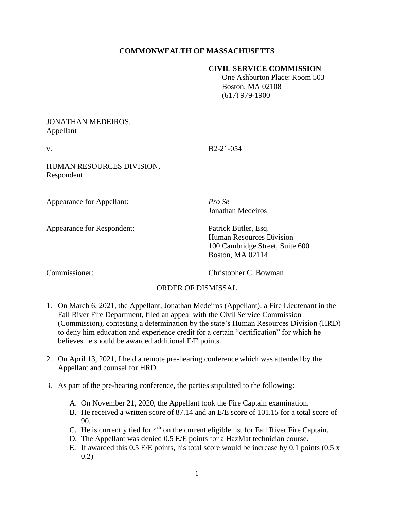# **COMMONWEALTH OF MASSACHUSETTS**

### **CIVIL SERVICE COMMISSION**

 One Ashburton Place: Room 503 Boston, MA 02108 (617) 979-1900

### JONATHAN MEDEIROS, Appellant

v. B2-21-054

HUMAN RESOURCES DIVISION, Respondent

Appearance for Appellant: *Pro Se*

Jonathan Medeiros

Appearance for Respondent: Patrick Butler, Esq.

Human Resources Division 100 Cambridge Street, Suite 600 Boston, MA 02114

Commissioner: Christopher C. Bowman

# ORDER OF DISMISSAL

- 1. On March 6, 2021, the Appellant, Jonathan Medeiros (Appellant), a Fire Lieutenant in the Fall River Fire Department, filed an appeal with the Civil Service Commission (Commission), contesting a determination by the state's Human Resources Division (HRD) to deny him education and experience credit for a certain "certification" for which he believes he should be awarded additional E/E points.
- 2. On April 13, 2021, I held a remote pre-hearing conference which was attended by the Appellant and counsel for HRD.
- 3. As part of the pre-hearing conference, the parties stipulated to the following:
	- A. On November 21, 2020, the Appellant took the Fire Captain examination.
	- B. He received a written score of 87.14 and an E/E score of 101.15 for a total score of 90.
	- C. He is currently tied for  $4<sup>th</sup>$  on the current eligible list for Fall River Fire Captain.
	- D. The Appellant was denied 0.5 E/E points for a HazMat technician course.
	- E. If awarded this 0.5 E/E points, his total score would be increase by 0.1 points (0.5 x 0.2)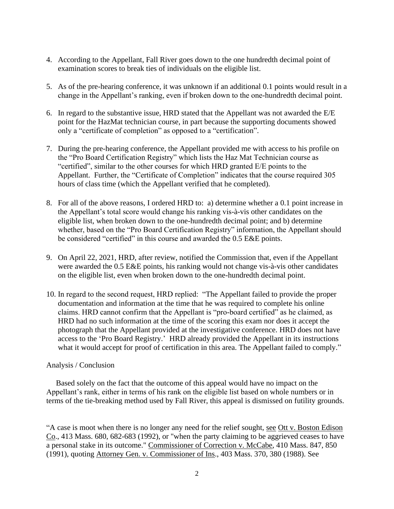- 4. According to the Appellant, Fall River goes down to the one hundredth decimal point of examination scores to break ties of individuals on the eligible list.
- 5. As of the pre-hearing conference, it was unknown if an additional 0.1 points would result in a change in the Appellant's ranking, even if broken down to the one-hundredth decimal point.
- 6. In regard to the substantive issue, HRD stated that the Appellant was not awarded the E/E point for the HazMat technician course, in part because the supporting documents showed only a "certificate of completion" as opposed to a "certification".
- 7. During the pre-hearing conference, the Appellant provided me with access to his profile on the "Pro Board Certification Registry" which lists the Haz Mat Technician course as "certified", similar to the other courses for which HRD granted E/E points to the Appellant. Further, the "Certificate of Completion" indicates that the course required 305 hours of class time (which the Appellant verified that he completed).
- 8. For all of the above reasons, I ordered HRD to: a) determine whether a 0.1 point increase in the Appellant's total score would change his ranking vis-à-vis other candidates on the eligible list, when broken down to the one-hundredth decimal point; and b) determine whether, based on the "Pro Board Certification Registry" information, the Appellant should be considered "certified" in this course and awarded the 0.5 E&E points.
- 9. On April 22, 2021, HRD, after review, notified the Commission that, even if the Appellant were awarded the 0.5 E&E points, his ranking would not change vis-à-vis other candidates on the eligible list, even when broken down to the one-hundredth decimal point.
- 10. In regard to the second request, HRD replied: "The Appellant failed to provide the proper documentation and information at the time that he was required to complete his online claims. HRD cannot confirm that the Appellant is "pro-board certified" as he claimed, as HRD had no such information at the time of the scoring this exam nor does it accept the photograph that the Appellant provided at the investigative conference. HRD does not have access to the 'Pro Board Registry.' HRD already provided the Appellant in its instructions what it would accept for proof of certification in this area. The Appellant failed to comply."

#### Analysis / Conclusion

 Based solely on the fact that the outcome of this appeal would have no impact on the Appellant's rank, either in terms of his rank on the eligible list based on whole numbers or in terms of the tie-breaking method used by Fall River, this appeal is dismissed on futility grounds.

"A case is moot when there is no longer any need for the relief sought, see Ott v. Boston Edison Co., 413 Mass. 680, 682-683 (1992), or "when the party claiming to be aggrieved ceases to have a personal stake in its outcome." Commissioner of Correction v. McCabe, 410 Mass. 847, 850 (1991), quoting Attorney Gen. v. Commissioner of Ins., 403 Mass. 370, 380 (1988). See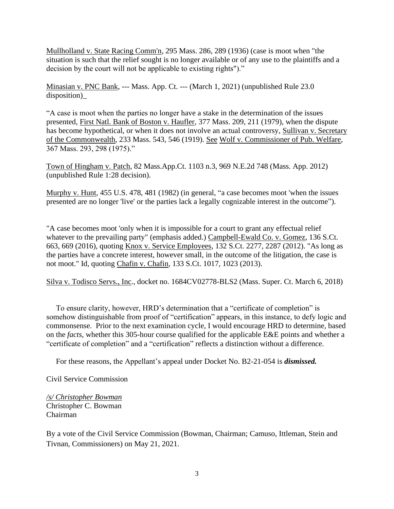Mullholland v. State Racing Comm'n, 295 Mass. 286, 289 (1936) (case is moot when "the situation is such that the relief sought is no longer available or of any use to the plaintiffs and a decision by the court will not be applicable to existing rights")."

Minasian v. PNC Bank, --- Mass. App. Ct. --- (March 1, 2021) (unpublished Rule 23.0 disposition)\_

"A case is moot when the parties no longer have a stake in the determination of the issues presented, First Natl. Bank of Boston v. Haufler, 377 Mass. 209, 211 (1979), when the dispute has become hypothetical, or when it does not involve an actual controversy, Sullivan v. Secretary of the Commonwealth, 233 Mass. 543, 546 (1919). See Wolf v. Commissioner of Pub. Welfare, 367 Mass. 293, 298 (1975)."

Town of Hingham v. Patch, 82 Mass.App.Ct. 1103 n.3, 969 N.E.2d 748 (Mass. App. 2012) (unpublished Rule 1:28 decision).

Murphy v. Hunt, 455 U.S. 478, 481 (1982) (in general, "a case becomes moot 'when the issues presented are no longer 'live' or the parties lack a legally cognizable interest in the outcome").

"A case becomes moot 'only when it is impossible for a court to grant any effectual relief whatever to the prevailing party" (emphasis added.) Campbell-Ewald Co. v. Gomez, 136 S.Ct. 663, 669 (2016), quoting Knox v. Service Employees, 132 S.Ct. 2277, 2287 (2012). "As long as the parties have a concrete interest, however small, in the outcome of the litigation, the case is not moot." Id, quoting Chafin v. Chafin, 133 S.Ct. 1017, 1023 (2013).

Silva v. Todisco Servs., Inc., docket no. 1684CV02778-BLS2 (Mass. Super. Ct. March 6, 2018)

 To ensure clarity, however, HRD's determination that a "certificate of completion" is somehow distinguishable from proof of "certification" appears, in this instance, to defy logic and commonsense. Prior to the next examination cycle, I would encourage HRD to determine, based on the *facts*, whether this 305-hour course qualified for the applicable E&E points and whether a "certificate of completion" and a "certification" reflects a distinction without a difference.

For these reasons, the Appellant's appeal under Docket No. B2-21-054 is *dismissed.*

Civil Service Commission

*/s/ Christopher Bowman* Christopher C. Bowman Chairman

By a vote of the Civil Service Commission (Bowman, Chairman; Camuso, Ittleman, Stein and Tivnan, Commissioners) on May 21, 2021.